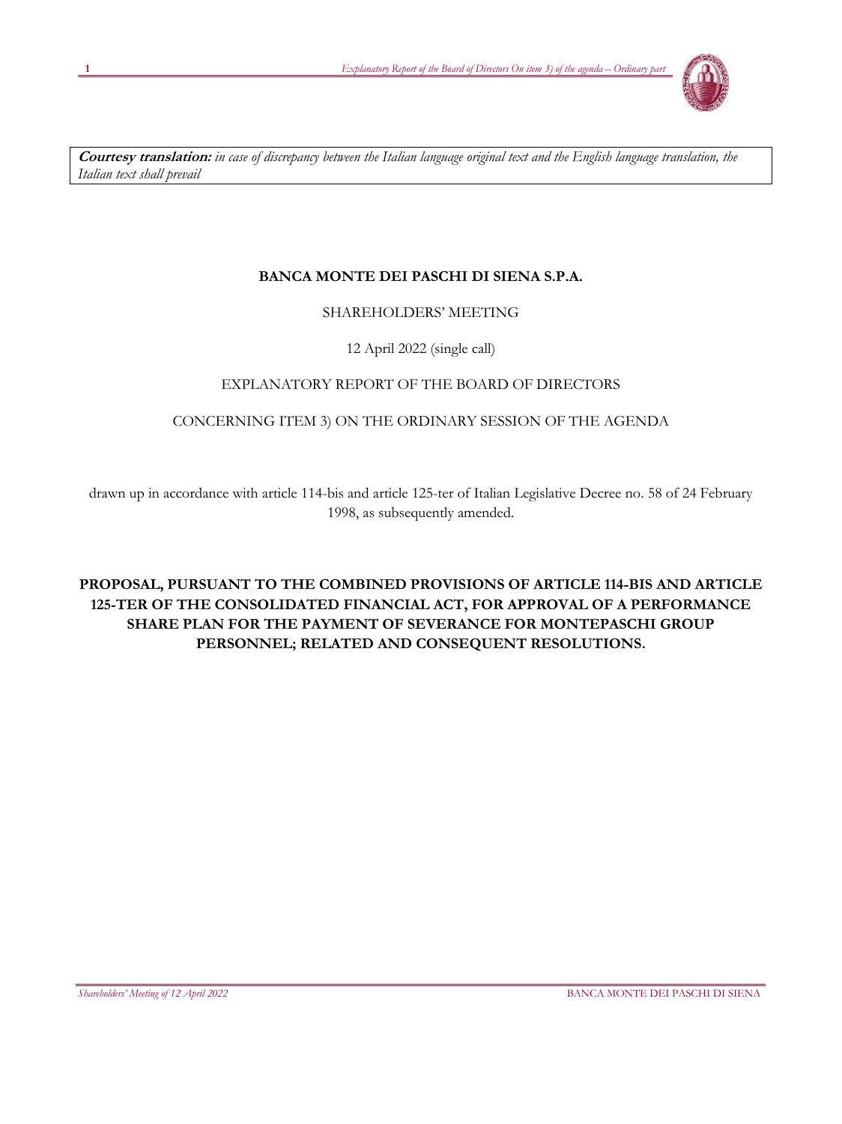

**Courtesy translation:** *in case of discrepancy between the Italian language original text and the English language translation, the Italian text shall prevail*

# **BANCA MONTE DEI PASCHI DI SIENA S.P.A.**

# SHAREHOLDERS' MEETING

12 April 2022 (single call)

# EXPLANATORY REPORT OF THE BOARD OF DIRECTORS

# CONCERNING ITEM 3) ON THE ORDINARY SESSION OF THE AGENDA

drawn up in accordance with article 114-bis and article 125-ter of Italian Legislative Decree no. 58 of 24 February 1998, as subsequently amended.

# **PROPOSAL, PURSUANT TO THE COMBINED PROVISIONS OF ARTICLE 114-BIS AND ARTICLE 125-TER OF THE CONSOLIDATED FINANCIAL ACT, FOR APPROVAL OF A PERFORMANCE SHARE PLAN FOR THE PAYMENT OF SEVERANCE FOR MONTEPASCHI GROUP PERSONNEL; RELATED AND CONSEQUENT RESOLUTIONS.**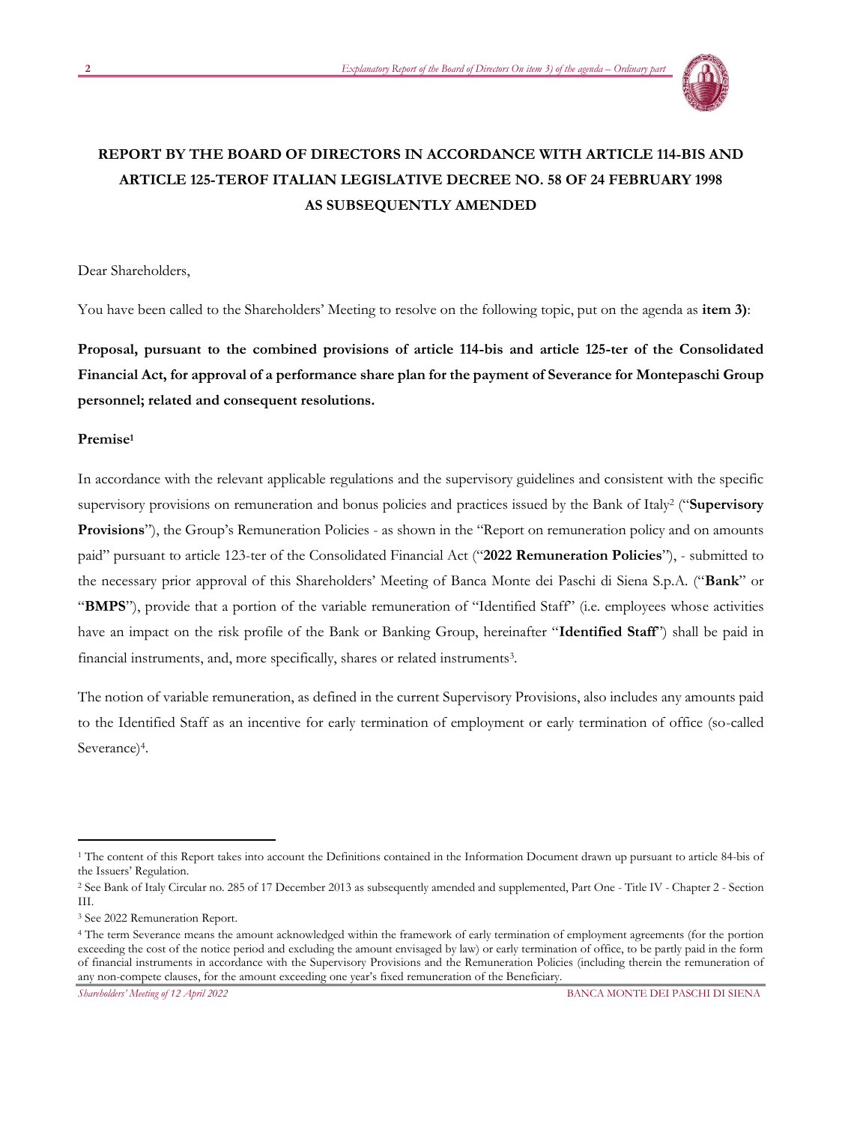

# **REPORT BY THE BOARD OF DIRECTORS IN ACCORDANCE WITH ARTICLE 114-BIS AND ARTICLE 125-TEROF ITALIAN LEGISLATIVE DECREE NO. 58 OF 24 FEBRUARY 1998 AS SUBSEQUENTLY AMENDED**

Dear Shareholders,

You have been called to the Shareholders' Meeting to resolve on the following topic, put on the agenda as **item 3)**:

**Proposal, pursuant to the combined provisions of article 114-bis and article 125-ter of the Consolidated Financial Act, for approval of a performance share plan for the payment of Severance for Montepaschi Group personnel; related and consequent resolutions.** 

## **Premise<sup>1</sup>**

In accordance with the relevant applicable regulations and the supervisory guidelines and consistent with the specific supervisory provisions on remuneration and bonus policies and practices issued by the Bank of Italy<sup>2</sup> ("Supervisory **Provisions**"), the Group's Remuneration Policies - as shown in the "Report on remuneration policy and on amounts paid" pursuant to article 123-ter of the Consolidated Financial Act ("**2022 Remuneration Policies**"), - submitted to the necessary prior approval of this Shareholders' Meeting of Banca Monte dei Paschi di Siena S.p.A. ("**Bank**" or "**BMPS**"), provide that a portion of the variable remuneration of "Identified Staff" (i.e. employees whose activities have an impact on the risk profile of the Bank or Banking Group, hereinafter "**Identified Staff**") shall be paid in financial instruments, and, more specifically, shares or related instruments<sup>3</sup>.

The notion of variable remuneration, as defined in the current Supervisory Provisions, also includes any amounts paid to the Identified Staff as an incentive for early termination of employment or early termination of office (so-called Severance)<sup>4</sup>.

<sup>&</sup>lt;sup>1</sup> The content of this Report takes into account the Definitions contained in the Information Document drawn up pursuant to article 84-bis of the Issuers' Regulation.

<sup>2</sup> See Bank of Italy Circular no. 285 of 17 December 2013 as subsequently amended and supplemented, Part One - Title IV - Chapter 2 - Section III.

<sup>3</sup> See 2022 Remuneration Report.

<sup>4</sup> The term Severance means the amount acknowledged within the framework of early termination of employment agreements (for the portion exceeding the cost of the notice period and excluding the amount envisaged by law) or early termination of office, to be partly paid in the form of financial instruments in accordance with the Supervisory Provisions and the Remuneration Policies (including therein the remuneration of any non-compete clauses, for the amount exceeding one year's fixed remuneration of the Beneficiary.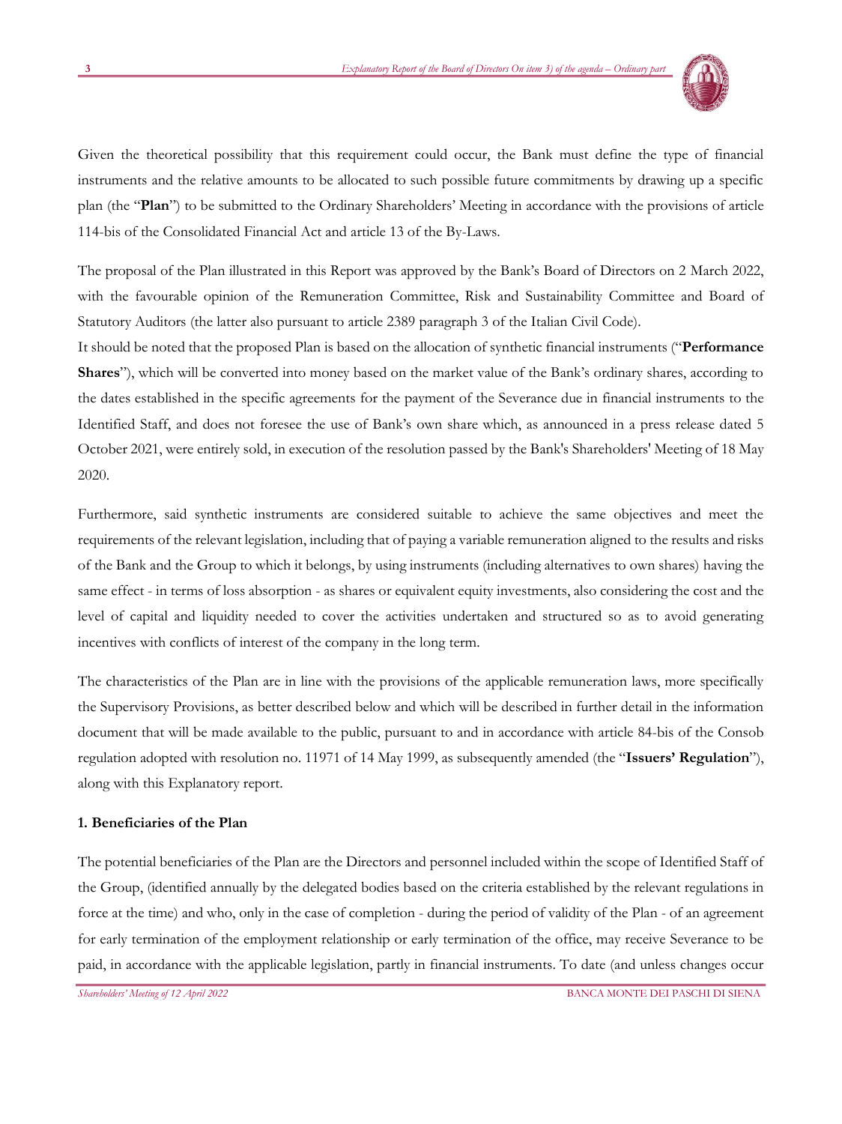

Given the theoretical possibility that this requirement could occur, the Bank must define the type of financial instruments and the relative amounts to be allocated to such possible future commitments by drawing up a specific plan (the "**Plan**") to be submitted to the Ordinary Shareholders' Meeting in accordance with the provisions of article 114-bis of the Consolidated Financial Act and article 13 of the By-Laws.

The proposal of the Plan illustrated in this Report was approved by the Bank's Board of Directors on 2 March 2022, with the favourable opinion of the Remuneration Committee, Risk and Sustainability Committee and Board of Statutory Auditors (the latter also pursuant to article 2389 paragraph 3 of the Italian Civil Code).

It should be noted that the proposed Plan is based on the allocation of synthetic financial instruments ("**Performance Shares**"), which will be converted into money based on the market value of the Bank's ordinary shares, according to the dates established in the specific agreements for the payment of the Severance due in financial instruments to the Identified Staff, and does not foresee the use of Bank's own share which, as announced in a press release dated 5 October 2021, were entirely sold, in execution of the resolution passed by the Bank's Shareholders' Meeting of 18 May 2020.

Furthermore, said synthetic instruments are considered suitable to achieve the same objectives and meet the requirements of the relevant legislation, including that of paying a variable remuneration aligned to the results and risks of the Bank and the Group to which it belongs, by using instruments (including alternatives to own shares) having the same effect - in terms of loss absorption - as shares or equivalent equity investments, also considering the cost and the level of capital and liquidity needed to cover the activities undertaken and structured so as to avoid generating incentives with conflicts of interest of the company in the long term.

The characteristics of the Plan are in line with the provisions of the applicable remuneration laws, more specifically the Supervisory Provisions, as better described below and which will be described in further detail in the information document that will be made available to the public, pursuant to and in accordance with article 84-bis of the Consob regulation adopted with resolution no. 11971 of 14 May 1999, as subsequently amended (the "**Issuers' Regulation**"), along with this Explanatory report.

#### **1. Beneficiaries of the Plan**

The potential beneficiaries of the Plan are the Directors and personnel included within the scope of Identified Staff of the Group, (identified annually by the delegated bodies based on the criteria established by the relevant regulations in force at the time) and who, only in the case of completion - during the period of validity of the Plan - of an agreement for early termination of the employment relationship or early termination of the office, may receive Severance to be paid, in accordance with the applicable legislation, partly in financial instruments. To date (and unless changes occur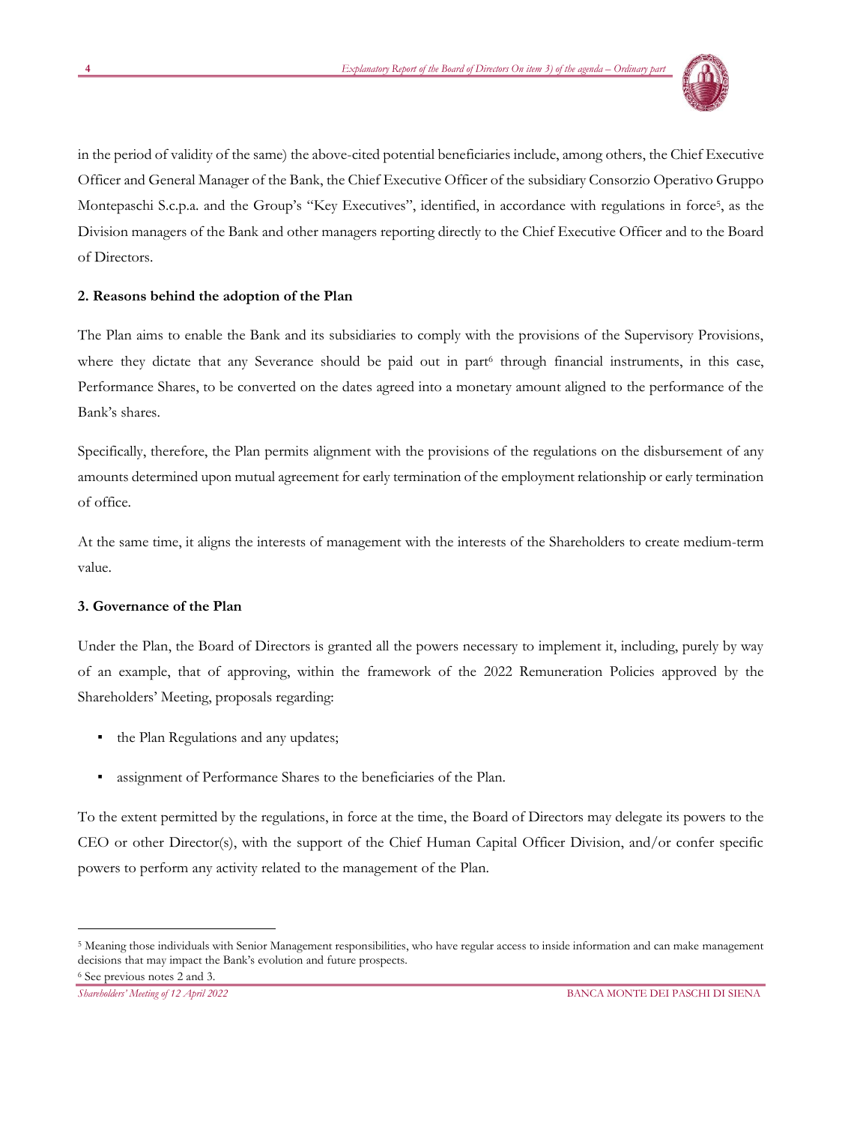

in the period of validity of the same) the above-cited potential beneficiaries include, among others, the Chief Executive Officer and General Manager of the Bank, the Chief Executive Officer of the subsidiary Consorzio Operativo Gruppo Montepaschi S.c.p.a. and the Group's "Key Executives", identified, in accordance with regulations in force<sup>5</sup>, as the Division managers of the Bank and other managers reporting directly to the Chief Executive Officer and to the Board of Directors.

## **2. Reasons behind the adoption of the Plan**

The Plan aims to enable the Bank and its subsidiaries to comply with the provisions of the Supervisory Provisions, where they dictate that any Severance should be paid out in part<sup>6</sup> through financial instruments, in this case, Performance Shares, to be converted on the dates agreed into a monetary amount aligned to the performance of the Bank's shares.

Specifically, therefore, the Plan permits alignment with the provisions of the regulations on the disbursement of any amounts determined upon mutual agreement for early termination of the employment relationship or early termination of office.

At the same time, it aligns the interests of management with the interests of the Shareholders to create medium-term value.

## **3. Governance of the Plan**

Under the Plan, the Board of Directors is granted all the powers necessary to implement it, including, purely by way of an example, that of approving, within the framework of the 2022 Remuneration Policies approved by the Shareholders' Meeting, proposals regarding:

- the Plan Regulations and any updates;
- assignment of Performance Shares to the beneficiaries of the Plan.

To the extent permitted by the regulations, in force at the time, the Board of Directors may delegate its powers to the CEO or other Director(s), with the support of the Chief Human Capital Officer Division, and/or confer specific powers to perform any activity related to the management of the Plan.

<sup>5</sup> Meaning those individuals with Senior Management responsibilities, who have regular access to inside information and can make management decisions that may impact the Bank's evolution and future prospects.

<sup>6</sup> See previous notes 2 and 3.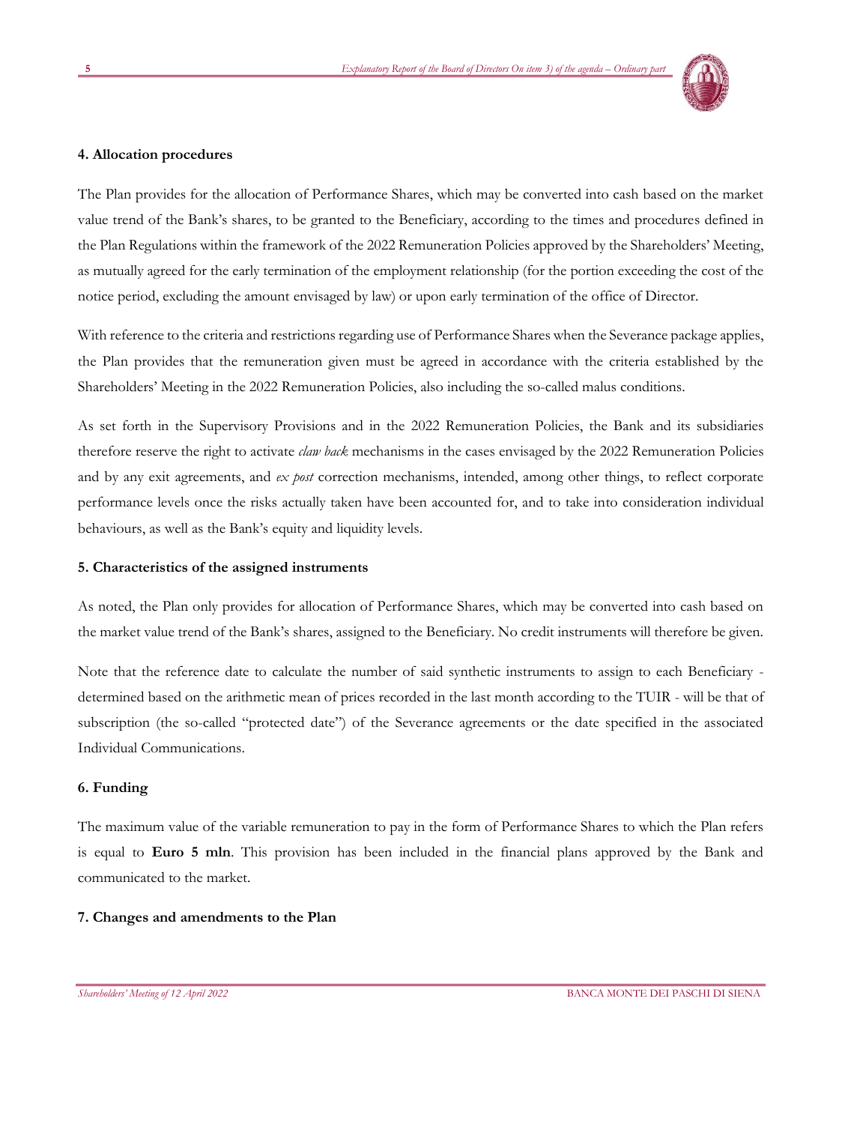

#### **4. Allocation procedures**

The Plan provides for the allocation of Performance Shares, which may be converted into cash based on the market value trend of the Bank's shares, to be granted to the Beneficiary, according to the times and procedures defined in the Plan Regulations within the framework of the 2022 Remuneration Policies approved by the Shareholders' Meeting, as mutually agreed for the early termination of the employment relationship (for the portion exceeding the cost of the notice period, excluding the amount envisaged by law) or upon early termination of the office of Director.

With reference to the criteria and restrictions regarding use of Performance Shares when the Severance package applies, the Plan provides that the remuneration given must be agreed in accordance with the criteria established by the Shareholders' Meeting in the 2022 Remuneration Policies, also including the so-called malus conditions.

As set forth in the Supervisory Provisions and in the 2022 Remuneration Policies, the Bank and its subsidiaries therefore reserve the right to activate *claw back* mechanisms in the cases envisaged by the 2022 Remuneration Policies and by any exit agreements, and *ex post* correction mechanisms, intended, among other things, to reflect corporate performance levels once the risks actually taken have been accounted for, and to take into consideration individual behaviours, as well as the Bank's equity and liquidity levels.

#### **5. Characteristics of the assigned instruments**

As noted, the Plan only provides for allocation of Performance Shares, which may be converted into cash based on the market value trend of the Bank's shares, assigned to the Beneficiary. No credit instruments will therefore be given.

Note that the reference date to calculate the number of said synthetic instruments to assign to each Beneficiary determined based on the arithmetic mean of prices recorded in the last month according to the TUIR - will be that of subscription (the so-called "protected date") of the Severance agreements or the date specified in the associated Individual Communications.

#### **6. Funding**

The maximum value of the variable remuneration to pay in the form of Performance Shares to which the Plan refers is equal to **Euro 5 mln**. This provision has been included in the financial plans approved by the Bank and communicated to the market.

#### **7. Changes and amendments to the Plan**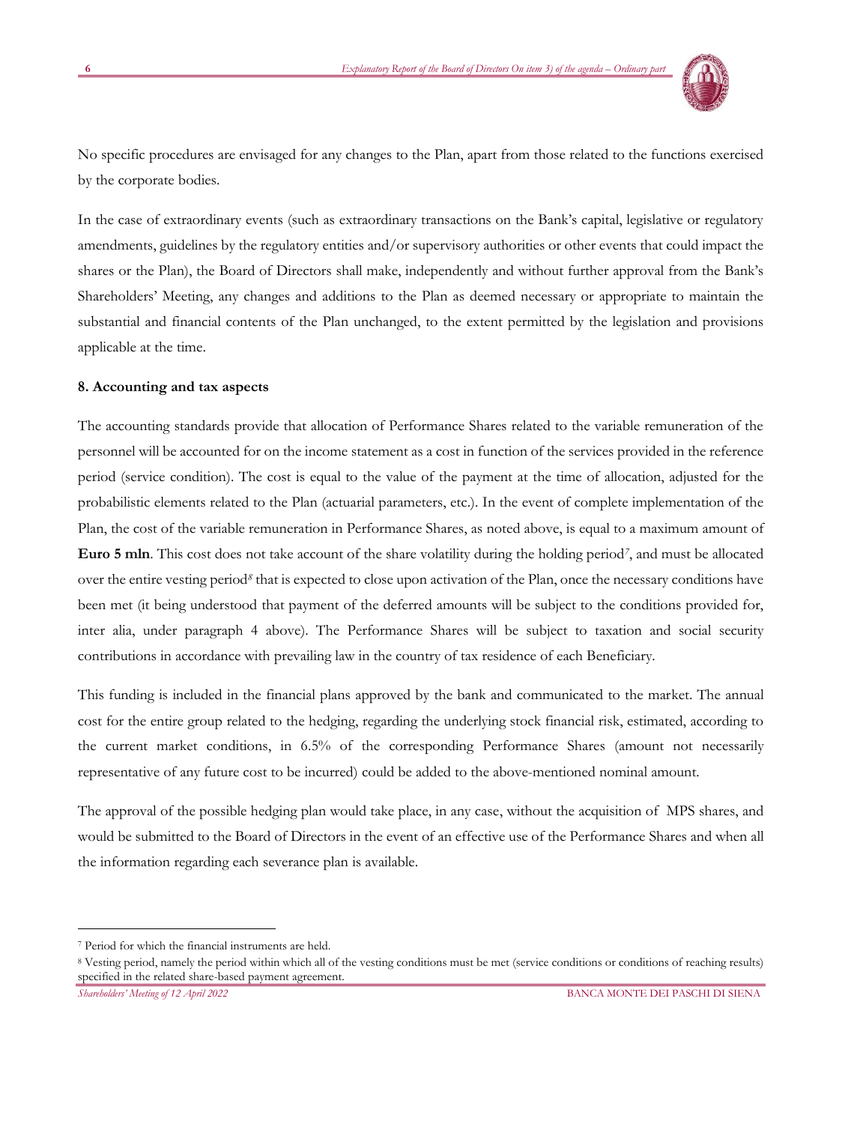

No specific procedures are envisaged for any changes to the Plan, apart from those related to the functions exercised by the corporate bodies.

In the case of extraordinary events (such as extraordinary transactions on the Bank's capital, legislative or regulatory amendments, guidelines by the regulatory entities and/or supervisory authorities or other events that could impact the shares or the Plan), the Board of Directors shall make, independently and without further approval from the Bank's Shareholders' Meeting, any changes and additions to the Plan as deemed necessary or appropriate to maintain the substantial and financial contents of the Plan unchanged, to the extent permitted by the legislation and provisions applicable at the time.

#### **8. Accounting and tax aspects**

The accounting standards provide that allocation of Performance Shares related to the variable remuneration of the personnel will be accounted for on the income statement as a cost in function of the services provided in the reference period (service condition). The cost is equal to the value of the payment at the time of allocation, adjusted for the probabilistic elements related to the Plan (actuarial parameters, etc.). In the event of complete implementation of the Plan, the cost of the variable remuneration in Performance Shares, as noted above, is equal to a maximum amount of **Euro 5 mln**. This cost does not take account of the share volatility during the holding period*<sup>7</sup>* , and must be allocated over the entire vesting period*<sup>8</sup>* that is expected to close upon activation of the Plan, once the necessary conditions have been met (it being understood that payment of the deferred amounts will be subject to the conditions provided for, inter alia, under paragraph 4 above). The Performance Shares will be subject to taxation and social security contributions in accordance with prevailing law in the country of tax residence of each Beneficiary.

This funding is included in the financial plans approved by the bank and communicated to the market. The annual cost for the entire group related to the hedging, regarding the underlying stock financial risk, estimated, according to the current market conditions, in 6.5% of the corresponding Performance Shares (amount not necessarily representative of any future cost to be incurred) could be added to the above-mentioned nominal amount.

The approval of the possible hedging plan would take place, in any case, without the acquisition of MPS shares, and would be submitted to the Board of Directors in the event of an effective use of the Performance Shares and when all the information regarding each severance plan is available.

<sup>7</sup> Period for which the financial instruments are held.

<sup>8</sup> Vesting period, namely the period within which all of the vesting conditions must be met (service conditions or conditions of reaching results) specified in the related share-based payment agreement.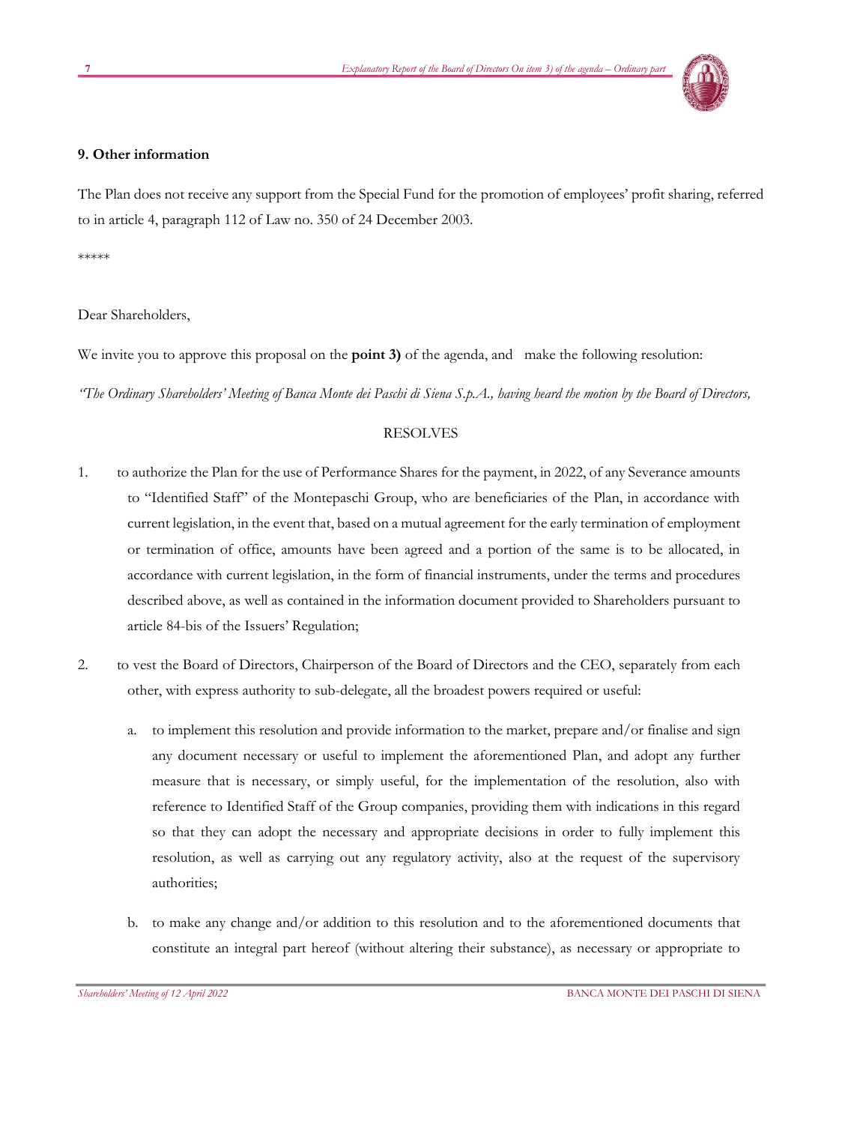

### **9. Other information**

The Plan does not receive any support from the Special Fund for the promotion of employees' profit sharing, referred to in article 4, paragraph 112 of Law no. 350 of 24 December 2003.

\*\*\*\*\*

Dear Shareholders,

We invite you to approve this proposal on the **point 3)** of the agenda, and make the following resolution:

*"The Ordinary Shareholders' Meeting of Banca Monte dei Paschi di Siena S.p.A., having heard the motion by the Board of Directors,*

# RESOLVES

- 1. to authorize the Plan for the use of Performance Shares for the payment, in 2022, of any Severance amounts to "Identified Staff" of the Montepaschi Group, who are beneficiaries of the Plan, in accordance with current legislation, in the event that, based on a mutual agreement for the early termination of employment or termination of office, amounts have been agreed and a portion of the same is to be allocated, in accordance with current legislation, in the form of financial instruments, under the terms and procedures described above, as well as contained in the information document provided to Shareholders pursuant to article 84-bis of the Issuers' Regulation;
- 2. to vest the Board of Directors, Chairperson of the Board of Directors and the CEO, separately from each other, with express authority to sub-delegate, all the broadest powers required or useful:
	- a. to implement this resolution and provide information to the market, prepare and/or finalise and sign any document necessary or useful to implement the aforementioned Plan, and adopt any further measure that is necessary, or simply useful, for the implementation of the resolution, also with reference to Identified Staff of the Group companies, providing them with indications in this regard so that they can adopt the necessary and appropriate decisions in order to fully implement this resolution, as well as carrying out any regulatory activity, also at the request of the supervisory authorities;
	- b. to make any change and/or addition to this resolution and to the aforementioned documents that constitute an integral part hereof (without altering their substance), as necessary or appropriate to